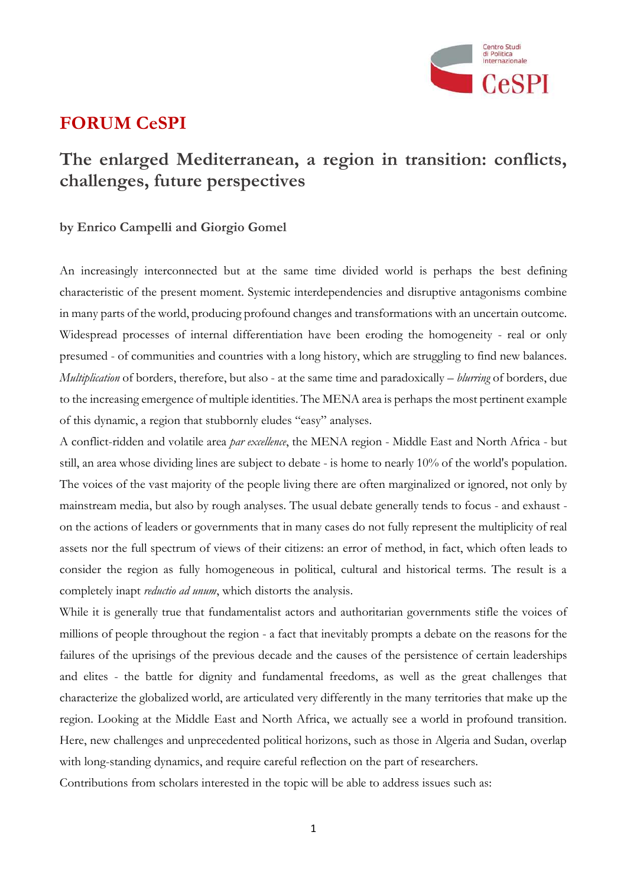

## **FORUM CeSPI**

## **The enlarged Mediterranean, a region in transition: conflicts, challenges, future perspectives**

## **by Enrico Campelli and Giorgio Gomel**

An increasingly interconnected but at the same time divided world is perhaps the best defining characteristic of the present moment. Systemic interdependencies and disruptive antagonisms combine in many parts of the world, producing profound changes and transformations with an uncertain outcome. Widespread processes of internal differentiation have been eroding the homogeneity - real or only presumed - of communities and countries with a long history, which are struggling to find new balances. *Multiplication* of borders, therefore, but also - at the same time and paradoxically – *blurring* of borders, due to the increasing emergence of multiple identities. The MENA area is perhaps the most pertinent example of this dynamic, a region that stubbornly eludes "easy" analyses.

A conflict-ridden and volatile area *par excellence*, the MENA region - Middle East and North Africa - but still, an area whose dividing lines are subject to debate - is home to nearly 10% of the world's population. The voices of the vast majority of the people living there are often marginalized or ignored, not only by mainstream media, but also by rough analyses. The usual debate generally tends to focus - and exhaust on the actions of leaders or governments that in many cases do not fully represent the multiplicity of real assets nor the full spectrum of views of their citizens: an error of method, in fact, which often leads to consider the region as fully homogeneous in political, cultural and historical terms. The result is a completely inapt *reductio ad unum*, which distorts the analysis.

While it is generally true that fundamentalist actors and authoritarian governments stifle the voices of millions of people throughout the region - a fact that inevitably prompts a debate on the reasons for the failures of the uprisings of the previous decade and the causes of the persistence of certain leaderships and elites - the battle for dignity and fundamental freedoms, as well as the great challenges that characterize the globalized world, are articulated very differently in the many territories that make up the region. Looking at the Middle East and North Africa, we actually see a world in profound transition. Here, new challenges and unprecedented political horizons, such as those in Algeria and Sudan, overlap with long-standing dynamics, and require careful reflection on the part of researchers.

Contributions from scholars interested in the topic will be able to address issues such as: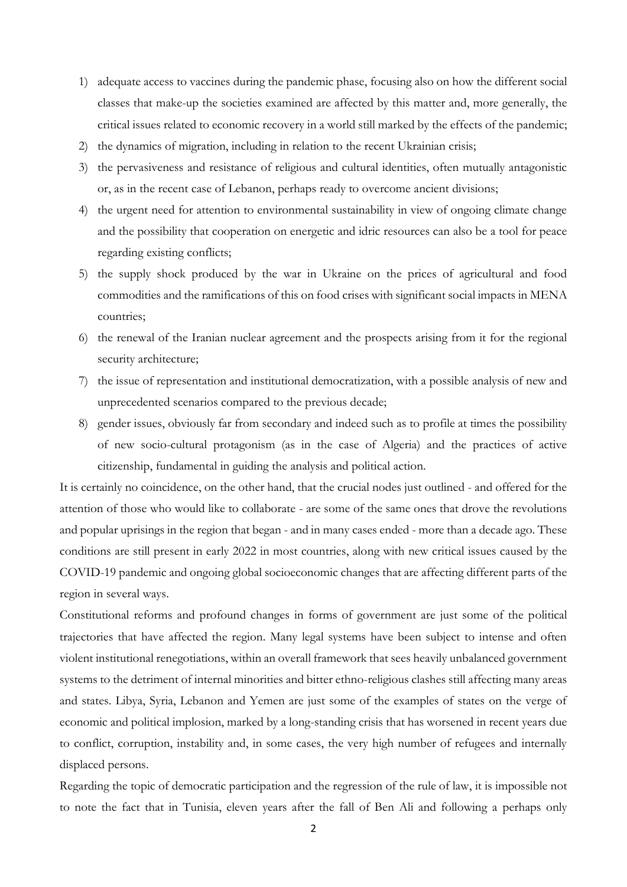- 1) adequate access to vaccines during the pandemic phase, focusing also on how the different social classes that make-up the societies examined are affected by this matter and, more generally, the critical issues related to economic recovery in a world still marked by the effects of the pandemic;
- 2) the dynamics of migration, including in relation to the recent Ukrainian crisis;
- 3) the pervasiveness and resistance of religious and cultural identities, often mutually antagonistic or, as in the recent case of Lebanon, perhaps ready to overcome ancient divisions;
- 4) the urgent need for attention to environmental sustainability in view of ongoing climate change and the possibility that cooperation on energetic and idric resources can also be a tool for peace regarding existing conflicts;
- 5) the supply shock produced by the war in Ukraine on the prices of agricultural and food commodities and the ramifications of this on food crises with significant social impacts in MENA countries;
- 6) the renewal of the Iranian nuclear agreement and the prospects arising from it for the regional security architecture;
- 7) the issue of representation and institutional democratization, with a possible analysis of new and unprecedented scenarios compared to the previous decade;
- 8) gender issues, obviously far from secondary and indeed such as to profile at times the possibility of new socio-cultural protagonism (as in the case of Algeria) and the practices of active citizenship, fundamental in guiding the analysis and political action.

It is certainly no coincidence, on the other hand, that the crucial nodes just outlined - and offered for the attention of those who would like to collaborate - are some of the same ones that drove the revolutions and popular uprisings in the region that began - and in many cases ended - more than a decade ago. These conditions are still present in early 2022 in most countries, along with new critical issues caused by the COVID-19 pandemic and ongoing global socioeconomic changes that are affecting different parts of the region in several ways.

Constitutional reforms and profound changes in forms of government are just some of the political trajectories that have affected the region. Many legal systems have been subject to intense and often violent institutional renegotiations, within an overall framework that sees heavily unbalanced government systems to the detriment of internal minorities and bitter ethno-religious clashes still affecting many areas and states. Libya, Syria, Lebanon and Yemen are just some of the examples of states on the verge of economic and political implosion, marked by a long-standing crisis that has worsened in recent years due to conflict, corruption, instability and, in some cases, the very high number of refugees and internally displaced persons.

Regarding the topic of democratic participation and the regression of the rule of law, it is impossible not to note the fact that in Tunisia, eleven years after the fall of Ben Ali and following a perhaps only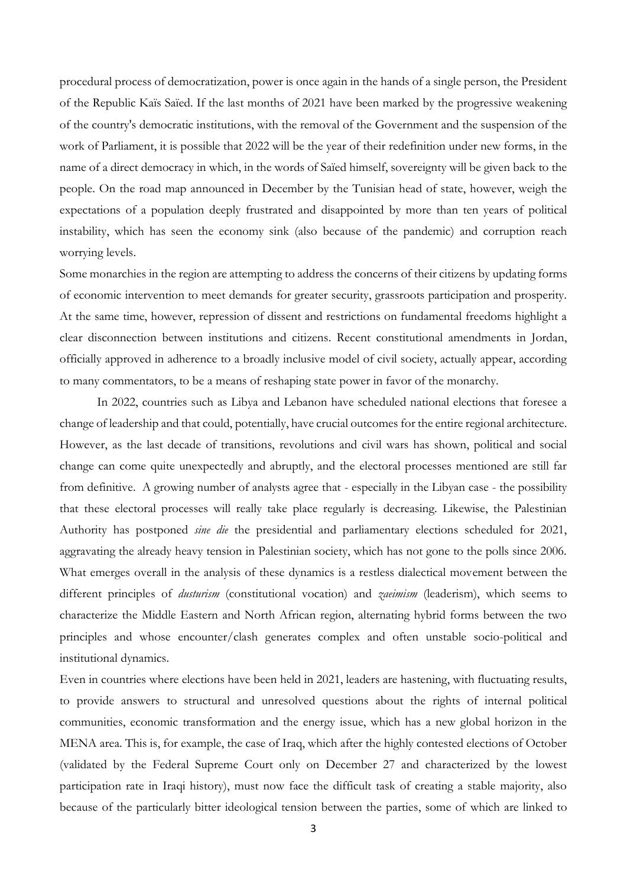procedural process of democratization, power is once again in the hands of a single person, the President of the Republic Kaïs Saïed. If the last months of 2021 have been marked by the progressive weakening of the country's democratic institutions, with the removal of the Government and the suspension of the work of Parliament, it is possible that 2022 will be the year of their redefinition under new forms, in the name of a direct democracy in which, in the words of Saïed himself, sovereignty will be given back to the people. On the road map announced in December by the Tunisian head of state, however, weigh the expectations of a population deeply frustrated and disappointed by more than ten years of political instability, which has seen the economy sink (also because of the pandemic) and corruption reach worrying levels.

Some monarchies in the region are attempting to address the concerns of their citizens by updating forms of economic intervention to meet demands for greater security, grassroots participation and prosperity. At the same time, however, repression of dissent and restrictions on fundamental freedoms highlight a clear disconnection between institutions and citizens. Recent constitutional amendments in Jordan, officially approved in adherence to a broadly inclusive model of civil society, actually appear, according to many commentators, to be a means of reshaping state power in favor of the monarchy.

In 2022, countries such as Libya and Lebanon have scheduled national elections that foresee a change of leadership and that could, potentially, have crucial outcomes for the entire regional architecture. However, as the last decade of transitions, revolutions and civil wars has shown, political and social change can come quite unexpectedly and abruptly, and the electoral processes mentioned are still far from definitive. A growing number of analysts agree that - especially in the Libyan case - the possibility that these electoral processes will really take place regularly is decreasing. Likewise, the Palestinian Authority has postponed *sine die* the presidential and parliamentary elections scheduled for 2021, aggravating the already heavy tension in Palestinian society, which has not gone to the polls since 2006. What emerges overall in the analysis of these dynamics is a restless dialectical movement between the different principles of *dusturism* (constitutional vocation) and *zaeimism* (leaderism), which seems to characterize the Middle Eastern and North African region, alternating hybrid forms between the two principles and whose encounter/clash generates complex and often unstable socio-political and institutional dynamics.

Even in countries where elections have been held in 2021, leaders are hastening, with fluctuating results, to provide answers to structural and unresolved questions about the rights of internal political communities, economic transformation and the energy issue, which has a new global horizon in the MENA area. This is, for example, the case of Iraq, which after the highly contested elections of October (validated by the Federal Supreme Court only on December 27 and characterized by the lowest participation rate in Iraqi history), must now face the difficult task of creating a stable majority, also because of the particularly bitter ideological tension between the parties, some of which are linked to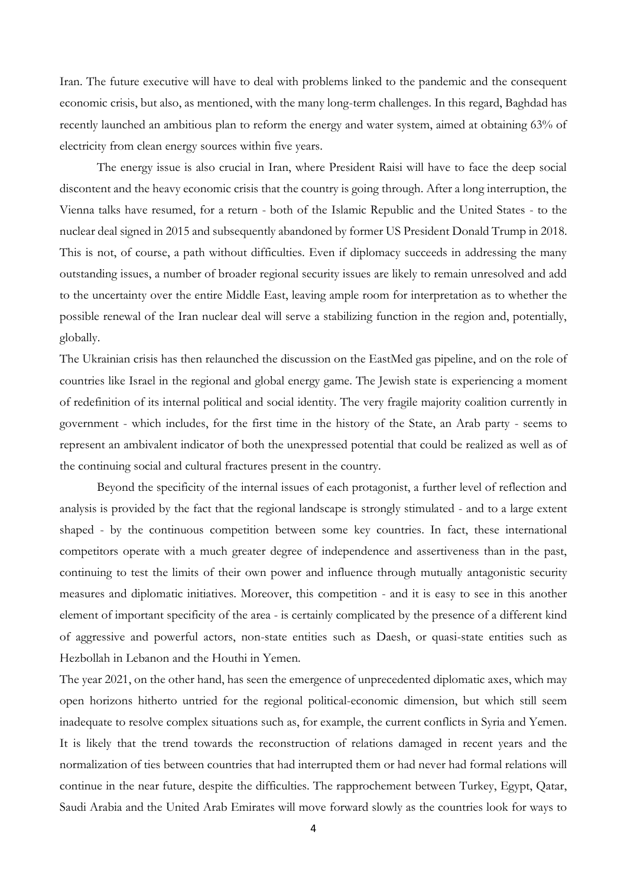Iran. The future executive will have to deal with problems linked to the pandemic and the consequent economic crisis, but also, as mentioned, with the many long-term challenges. In this regard, Baghdad has recently launched an ambitious plan to reform the energy and water system, aimed at obtaining 63% of electricity from clean energy sources within five years.

The energy issue is also crucial in Iran, where President Raisi will have to face the deep social discontent and the heavy economic crisis that the country is going through. After a long interruption, the Vienna talks have resumed, for a return - both of the Islamic Republic and the United States - to the nuclear deal signed in 2015 and subsequently abandoned by former US President Donald Trump in 2018. This is not, of course, a path without difficulties. Even if diplomacy succeeds in addressing the many outstanding issues, a number of broader regional security issues are likely to remain unresolved and add to the uncertainty over the entire Middle East, leaving ample room for interpretation as to whether the possible renewal of the Iran nuclear deal will serve a stabilizing function in the region and, potentially, globally.

The Ukrainian crisis has then relaunched the discussion on the EastMed gas pipeline, and on the role of countries like Israel in the regional and global energy game. The Jewish state is experiencing a moment of redefinition of its internal political and social identity. The very fragile majority coalition currently in government - which includes, for the first time in the history of the State, an Arab party - seems to represent an ambivalent indicator of both the unexpressed potential that could be realized as well as of the continuing social and cultural fractures present in the country.

Beyond the specificity of the internal issues of each protagonist, a further level of reflection and analysis is provided by the fact that the regional landscape is strongly stimulated - and to a large extent shaped - by the continuous competition between some key countries. In fact, these international competitors operate with a much greater degree of independence and assertiveness than in the past, continuing to test the limits of their own power and influence through mutually antagonistic security measures and diplomatic initiatives. Moreover, this competition - and it is easy to see in this another element of important specificity of the area - is certainly complicated by the presence of a different kind of aggressive and powerful actors, non-state entities such as Daesh, or quasi-state entities such as Hezbollah in Lebanon and the Houthi in Yemen.

The year 2021, on the other hand, has seen the emergence of unprecedented diplomatic axes, which may open horizons hitherto untried for the regional political-economic dimension, but which still seem inadequate to resolve complex situations such as, for example, the current conflicts in Syria and Yemen. It is likely that the trend towards the reconstruction of relations damaged in recent years and the normalization of ties between countries that had interrupted them or had never had formal relations will continue in the near future, despite the difficulties. The rapprochement between Turkey, Egypt, Qatar, Saudi Arabia and the United Arab Emirates will move forward slowly as the countries look for ways to